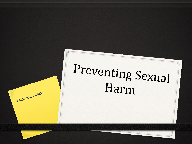# Preventing Sexual Harm

McCartan - 2015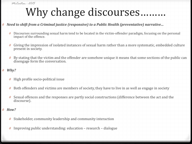*McCartan - 2015*

## Why change discourses………

#### *Need to shift from a Criminal justice (responsive) to a Public Health (preventative) narrative…*

- Discourses surrounding sexual harm tend to be located in the victim-offender paradigm, focusing on the personal impact of the offence.
- Giving the impression of isolated instances of sexual harm rather than a more systematic, embedded culture present in society.
- By stating that the victim and the offender are somehow unique it means that some sections of the public can disengage form the conversation.

#### *Why?*

- High profile socio-political issue
- Both offenders and victims are members of society, they have to live in as well as engage in society
- Sexual offences and the responses are partly social constructions (difference between the act and the discourse).

#### *How?*

- Stakeholder, community leadership and community interaction
- Improving public understanding: education research dialogue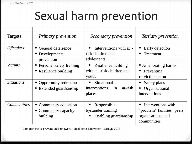*McCartan - 2015*

## Sexual harm prevention

| Targets                 | <b>Primary prevention</b>                                  | Secondary prevention                                        | Tertiary prevention                                                                   |
|-------------------------|------------------------------------------------------------|-------------------------------------------------------------|---------------------------------------------------------------------------------------|
| <i><b>Offenders</b></i> | • General deterrence<br>• Developmental<br>prevention      | Interventions with at -<br>risk children and<br>adolescents | Early detection<br>Treatment                                                          |
| <b>Victims</b>          | • Personal safety training<br>• Resilience building        | Resilience building<br>with at -risk children and<br>youth  | • Ameliorating harms<br>• Preventing<br>re-victimisation                              |
| <b>Situations</b>       | • Opportunity reduction<br>$\bullet$ Extended guardianship | Situational<br>interventions<br>at-risk<br>in<br>places     | Safety plans<br>Organizational<br>$\bullet$<br>interventions                          |
| <b>Communities</b>      | • Community education<br>• Community capacity<br>building  | Responsible<br>bystander training<br>Enabling guardianship  | Interventions with<br>"problem" families, peers,<br>organisations, and<br>communities |

(Comprehensive prevention framework - Smallbone & Rayment-McHugh, 2013)